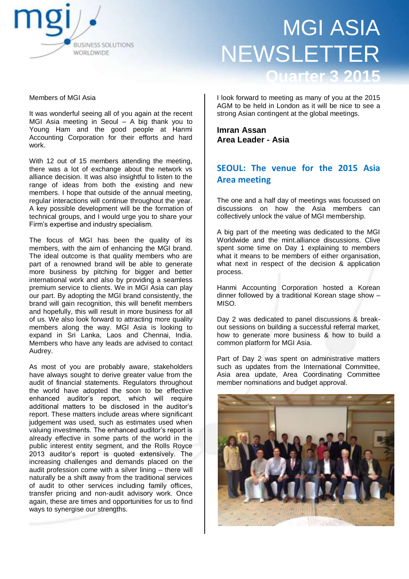

Members of MGI Asia

It was wonderful seeing all of you again at the recent MGI Asia meeting in Seoul – A big thank you to Young Ham and the good people at Hanmi Accounting Corporation for their efforts and hard work.

With 12 out of 15 members attending the meeting, there was a lot of exchange about the network vs alliance decision. It was also insightful to listen to the range of ideas from both the existing and new members. I hope that outside of the annual meeting, regular interactions will continue throughout the year. A key possible development will be the formation of technical groups, and I would urge you to share your Firm's expertise and industry specialism.

The focus of MGI has been the quality of its members, with the aim of enhancing the MGI brand. The ideal outcome is that quality members who are part of a renowned brand will be able to generate more business by pitching for bigger and better international work and also by providing a seamless premium service to clients. We in MGI Asia can play our part. By adopting the MGI brand consistently, the brand will gain recognition, this will benefit members and hopefully, this will result in more business for all of us. We also look forward to attracting more quality members along the way. MGI Asia is looking to expand in Sri Lanka, Laos and Chennai, India. Members who have any leads are advised to contact Audrey.

As most of you are probably aware, stakeholders have always sought to derive greater value from the audit of financial statements. Regulators throughout the world have adopted the soon to be effective enhanced auditor's report, which will require additional matters to be disclosed in the auditor's report. These matters include areas where significant judgement was used, such as estimates used when valuing investments. The enhanced auditor's report is already effective in some parts of the world in the public interest entity segment, and the Rolls Royce 2013 auditor's report is quoted extensively. The increasing challenges and demands placed on the audit profession come with a silver lining – there will naturally be a shift away from the traditional services of audit to other services including family offices, transfer pricing and non-audit advisory work. Once again, these are times and opportunities for us to find ways to synergise our strengths.

I look forward to meeting as many of you at the 2015 AGM to be held in London as it will be nice to see a strong Asian contingent at the global meetings.

**Imran Assan Area Leader - Asia**

## **SEOUL: The venue for the 2015 Asia Area meeting**

The one and a half day of meetings was focussed on discussions on how the Asia members can collectively unlock the value of MGI membership.

A big part of the meeting was dedicated to the MGI Worldwide and the mint.alliance discussions. Clive spent some time on Day 1 explaining to members what it means to be members of either organisation, what next in respect of the decision & application process.

Hanmi Accounting Corporation hosted a Korean dinner followed by a traditional Korean stage show – MISO.

Day 2 was dedicated to panel discussions & breakout sessions on building a successful referral market, how to generate more business & how to build a common platform for MGI Asia.

Part of Day 2 was spent on administrative matters such as updates from the International Committee, Asia area update, Area Coordinating Committee member nominations and budget approval.

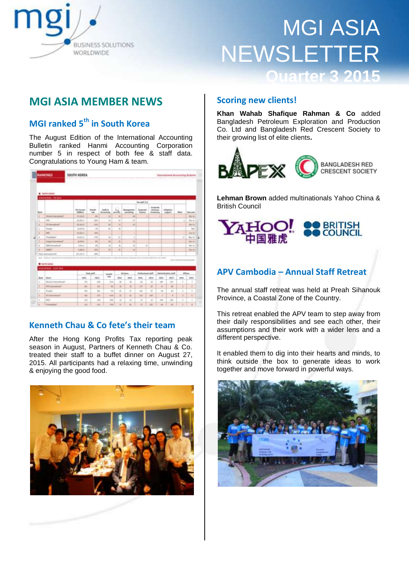

# **MGI ASIA MEMBER NEWS**

# **MGI ranked 5th in South Korea**

The August Edition of the International Accounting Bulletin ranked Hanmi Accounting Corporation number 5 in respect of both fee & staff data. Congratulations to Young Ham & team.

| Nevalt 254<br>-- 1<br><b><i><u>Entrance</u>nt</i></b><br>丛<br><b>Acude</b><br>Audit &<br>Nasaprovit<br><b>For Incomed</b><br>Zarpavala<br>vening?<br>Littleston<br><b>Hard</b><br><b>CEMMONS</b><br>rate.<br><b>Finance</b><br>Antonining<br>considered<br><b><i><u>Instrument</u></i></b><br><b>Joseph 1</b><br>武田県多<br>3%<br>准<br>m<br>I<br><b>Partial of the resistant</b><br>×<br>1<br>×<br><b>John</b><br>23.108.5<br>$10\%$<br>×<br>×<br>$\sim$<br><br>an an<br>×<br><b>HN</b><br>ы<br><b>ELEMENT</b><br>38,816.2<br>u<br>38<br>$\blacksquare$<br>٠<br><b>BATTS</b><br>$\rightarrow$<br>u<br>Promote <sup>2</sup><br>×<br>wh.<br><b>HET</b><br>11,112.5<br>×<br><b>Rendered</b><br>MALA<br>m<br>$\mathbb{H}$<br>m<br>٠<br>×<br>٠<br>×<br>Import & Assessment C<br>an.<br>m<br>8,496.6<br>is<br>٠<br>$\mathcal{L}_{\mathbf{a}}$<br>u<br>$\mathbf{11}$<br>$\equiv$<br>Althoughed?<br>$3 + 613$<br><b>SANCH</b><br>×<br>٠<br>1,446.0<br>$\frac{1}{2}$<br>и<br>×<br>101,041.9<br>$\frac{1}{2}$<br>Total dealership and<br>days. The stage of the paintings of a standard companies as the a<br>do concesso extrap-form<br><b>STATISTICS</b><br><b>B</b> United States<br>Milesunhas - Cam lane<br>Total staff<br>Following July<br><b><i><u><i><u>ARCHITACHTA</u></i></u></i></b><br><b>Parliame</b><br><b>Annual</b><br>rate.<br><b>SALE</b><br>total<br>3912<br><b>Bank</b><br><b>SWILL</b><br><b>SIGK</b><br><b>HELE</b><br>300x<br>3018<br>took.<br>ż.<br><b>Heritain International</b><br>113<br>$\overline{1}$<br>$\frac{1}{2}$<br>$\overline{a}$<br>u<br>446<br>m<br>1m<br>$\equiv$<br><b>IPE Immerse</b><br>m<br>×<br>×<br>٠<br>×<br>$\frac{1}{2}$<br>$\overline{a}$<br>×<br>181<br>$\overline{a}$<br>$\rightarrow$<br>in i<br>$\mathbf{u}$ | <b>Washington</b><br>TRU- 23<br>ı<br><b>Blue ke</b> | <b>STORY</b> |    |   |          |               |   |  |  |      |          |   |
|-------------------------------------------------------------------------------------------------------------------------------------------------------------------------------------------------------------------------------------------------------------------------------------------------------------------------------------------------------------------------------------------------------------------------------------------------------------------------------------------------------------------------------------------------------------------------------------------------------------------------------------------------------------------------------------------------------------------------------------------------------------------------------------------------------------------------------------------------------------------------------------------------------------------------------------------------------------------------------------------------------------------------------------------------------------------------------------------------------------------------------------------------------------------------------------------------------------------------------------------------------------------------------------------------------------------------------------------------------------------------------------------------------------------------------------------------------------------------------------------------------------------------------------------------------------------------------------------------------------------------------------------------------------------------------------------------------------------------------------------------------|-----------------------------------------------------|--------------|----|---|----------|---------------|---|--|--|------|----------|---|
|                                                                                                                                                                                                                                                                                                                                                                                                                                                                                                                                                                                                                                                                                                                                                                                                                                                                                                                                                                                                                                                                                                                                                                                                                                                                                                                                                                                                                                                                                                                                                                                                                                                                                                                                                       |                                                     |              |    |   |          |               |   |  |  |      |          |   |
|                                                                                                                                                                                                                                                                                                                                                                                                                                                                                                                                                                                                                                                                                                                                                                                                                                                                                                                                                                                                                                                                                                                                                                                                                                                                                                                                                                                                                                                                                                                                                                                                                                                                                                                                                       |                                                     |              |    |   |          |               |   |  |  |      |          |   |
|                                                                                                                                                                                                                                                                                                                                                                                                                                                                                                                                                                                                                                                                                                                                                                                                                                                                                                                                                                                                                                                                                                                                                                                                                                                                                                                                                                                                                                                                                                                                                                                                                                                                                                                                                       |                                                     |              |    |   |          |               |   |  |  |      |          |   |
|                                                                                                                                                                                                                                                                                                                                                                                                                                                                                                                                                                                                                                                                                                                                                                                                                                                                                                                                                                                                                                                                                                                                                                                                                                                                                                                                                                                                                                                                                                                                                                                                                                                                                                                                                       |                                                     |              |    |   |          |               |   |  |  |      |          |   |
|                                                                                                                                                                                                                                                                                                                                                                                                                                                                                                                                                                                                                                                                                                                                                                                                                                                                                                                                                                                                                                                                                                                                                                                                                                                                                                                                                                                                                                                                                                                                                                                                                                                                                                                                                       | diam'r.                                             |              |    |   |          |               |   |  |  |      |          |   |
|                                                                                                                                                                                                                                                                                                                                                                                                                                                                                                                                                                                                                                                                                                                                                                                                                                                                                                                                                                                                                                                                                                                                                                                                                                                                                                                                                                                                                                                                                                                                                                                                                                                                                                                                                       |                                                     |              |    |   |          |               |   |  |  |      |          |   |
|                                                                                                                                                                                                                                                                                                                                                                                                                                                                                                                                                                                                                                                                                                                                                                                                                                                                                                                                                                                                                                                                                                                                                                                                                                                                                                                                                                                                                                                                                                                                                                                                                                                                                                                                                       | <b>Jane By</b>                                      |              |    |   |          |               |   |  |  |      |          |   |
|                                                                                                                                                                                                                                                                                                                                                                                                                                                                                                                                                                                                                                                                                                                                                                                                                                                                                                                                                                                                                                                                                                                                                                                                                                                                                                                                                                                                                                                                                                                                                                                                                                                                                                                                                       | $\mathbf{u}$<br>Rog. 11                             |              |    |   |          |               |   |  |  |      |          |   |
|                                                                                                                                                                                                                                                                                                                                                                                                                                                                                                                                                                                                                                                                                                                                                                                                                                                                                                                                                                                                                                                                                                                                                                                                                                                                                                                                                                                                                                                                                                                                                                                                                                                                                                                                                       | 84144                                               |              |    |   |          |               |   |  |  |      |          |   |
|                                                                                                                                                                                                                                                                                                                                                                                                                                                                                                                                                                                                                                                                                                                                                                                                                                                                                                                                                                                                                                                                                                                                                                                                                                                                                                                                                                                                                                                                                                                                                                                                                                                                                                                                                       | Bigs 14                                             |              |    |   |          |               |   |  |  |      |          |   |
|                                                                                                                                                                                                                                                                                                                                                                                                                                                                                                                                                                                                                                                                                                                                                                                                                                                                                                                                                                                                                                                                                                                                                                                                                                                                                                                                                                                                                                                                                                                                                                                                                                                                                                                                                       | Bal 44                                              |              |    |   |          |               |   |  |  |      |          |   |
|                                                                                                                                                                                                                                                                                                                                                                                                                                                                                                                                                                                                                                                                                                                                                                                                                                                                                                                                                                                                                                                                                                                                                                                                                                                                                                                                                                                                                                                                                                                                                                                                                                                                                                                                                       |                                                     |              |    |   |          |               |   |  |  |      |          |   |
|                                                                                                                                                                                                                                                                                                                                                                                                                                                                                                                                                                                                                                                                                                                                                                                                                                                                                                                                                                                                                                                                                                                                                                                                                                                                                                                                                                                                                                                                                                                                                                                                                                                                                                                                                       | <b>BTFores</b>                                      |              |    |   |          |               |   |  |  |      |          |   |
|                                                                                                                                                                                                                                                                                                                                                                                                                                                                                                                                                                                                                                                                                                                                                                                                                                                                                                                                                                                                                                                                                                                                                                                                                                                                                                                                                                                                                                                                                                                                                                                                                                                                                                                                                       | 3822                                                | <b>DISK</b>  |    |   |          |               |   |  |  |      |          |   |
|                                                                                                                                                                                                                                                                                                                                                                                                                                                                                                                                                                                                                                                                                                                                                                                                                                                                                                                                                                                                                                                                                                                                                                                                                                                                                                                                                                                                                                                                                                                                                                                                                                                                                                                                                       |                                                     | и            |    |   |          |               |   |  |  |      |          |   |
|                                                                                                                                                                                                                                                                                                                                                                                                                                                                                                                                                                                                                                                                                                                                                                                                                                                                                                                                                                                                                                                                                                                                                                                                                                                                                                                                                                                                                                                                                                                                                                                                                                                                                                                                                       | ×                                                   | ×            |    |   |          |               |   |  |  |      |          |   |
|                                                                                                                                                                                                                                                                                                                                                                                                                                                                                                                                                                                                                                                                                                                                                                                                                                                                                                                                                                                                                                                                                                                                                                                                                                                                                                                                                                                                                                                                                                                                                                                                                                                                                                                                                       | ٠                                                   | ٠            | 41 | ÷ | $\cdots$ | $\frac{1}{2}$ | m |  |  | 1911 | Prastic? | ٠ |
| <b>H</b><br>٠<br><b>Richmond IS</b><br>118<br>in extent<br>٠<br>٠<br>$\equiv$<br>m<br><b>LEASE</b><br>×                                                                                                                                                                                                                                                                                                                                                                                                                                                                                                                                                                                                                                                                                                                                                                                                                                                                                                                                                                                                                                                                                                                                                                                                                                                                                                                                                                                                                                                                                                                                                                                                                                               | ×                                                   | ٠            |    |   |          |               |   |  |  |      |          |   |
| mi-<br>٠<br>$\mathbf{u}$<br>$+10$<br>113<br>$\mathfrak{m}$<br>×<br>$\pm$<br>n<br>$\rightarrow$<br>$\sim$                                                                                                                                                                                                                                                                                                                                                                                                                                                                                                                                                                                                                                                                                                                                                                                                                                                                                                                                                                                                                                                                                                                                                                                                                                                                                                                                                                                                                                                                                                                                                                                                                                              |                                                     | ٠            |    |   |          |               |   |  |  |      |          |   |

## **Kenneth Chau & Co fete's their team**

After the Hong Kong Profits Tax reporting peak season in August, Partners of Kenneth Chau & Co. treated their staff to a buffet dinner on August 27, 2015. All participants had a relaxing time, unwinding & enjoying the good food.



## **Scoring new clients!**

**Khan Wahab Shafique Rahman & Co** added Bangladesh Petroleum Exploration and Production Co. Ltd and Bangladesh Red Crescent Society to their growing list of elite clients**.** 



**Lehman Brown** added multinationals Yahoo China & British Council



## **APV Cambodia – Annual Staff Retreat**

The annual staff retreat was held at Preah Sihanouk Province, a Coastal Zone of the Country.

This retreat enabled the APV team to step away from their daily responsibilities and see each other, their assumptions and their work with a wider lens and a different perspective.

It enabled them to dig into their hearts and minds, to think outside the box to generate ideas to work together and move forward in powerful ways.

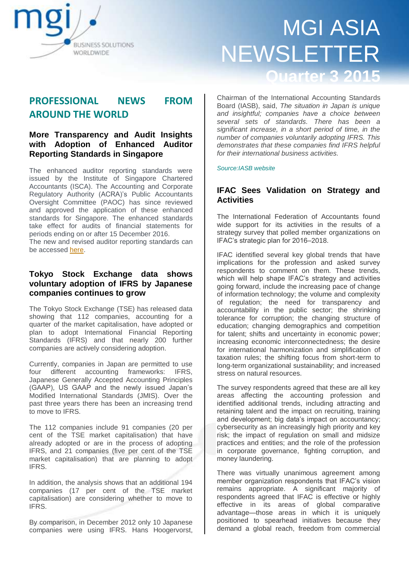

# **PROFESSIONAL NEWS FROM AROUND THE WORLD**

## **More Transparency and Audit Insights with Adoption of Enhanced Auditor Reporting Standards in Singapore**

The enhanced auditor reporting standards were issued by the Institute of Singapore Chartered Accountants (ISCA). The Accounting and Corporate Regulatory Authority (ACRA)'s Public Accountants Oversight Committee (PAOC) has since reviewed and approved the application of these enhanced standards for Singapore. The enhanced standards take effect for audits of financial statements for periods ending on or after 15 December 2016. The new and revised auditor reporting standards can be accessed [here.](http://isca.org.sg/tkc/aa/current-issues/standards-alert/standards-alert/2015/july/new-and-revised-auditor-reporting-standards/)

### **Tokyo Stock Exchange data shows voluntary adoption of IFRS by Japanese companies continues to grow**

The Tokyo Stock Exchange (TSE) has released data showing that 112 companies, accounting for a quarter of the market capitalisation, have adopted or plan to adopt International Financial Reporting Standards (IFRS) and that nearly 200 further companies are actively considering adoption.

Currently, companies in Japan are permitted to use four different accounting frameworks: IFRS, Japanese Generally Accepted Accounting Principles (GAAP), US GAAP and the newly issued Japan's Modified International Standards (JMIS). Over the past three years there has been an increasing trend to move to IFRS.

The 112 companies include 91 companies (20 per cent of the TSE market capitalisation) that have already adopted or are in the process of adopting IFRS, and 21 companies (five per cent of the TSE market capitalisation) that are planning to adopt IFRS.

In addition, the analysis shows that an additional 194 companies (17 per cent of the TSE market capitalisation) are considering whether to move to IFRS.

By comparison, in December 2012 only 10 Japanese companies were using IFRS. Hans Hoogervorst, Chairman of the International Accounting Standards Board (IASB), said, *The situation in Japan is unique and insightful; companies have a choice between several sets of standards. There has been a significant increase, in a short period of time, in the number of companies voluntarily adopting IFRS. This demonstrates that these companies find IFRS helpful for their international business activities.*

#### *Source:IASB website*

### **IFAC Sees Validation on Strategy and Activities**

The International Federation of Accountants found wide support for its activities in the results of a strategy survey that polled member organizations on IFAC's strategic plan for 2016–2018.

IFAC identified several key global trends that have implications for the profession and asked survey respondents to comment on them. These trends, which will help shape IFAC's strategy and activities going forward, include the increasing pace of change of information technology; the volume and complexity of regulation; the need for transparency and accountability in the public sector; the shrinking tolerance for corruption; the changing structure of education; changing demographics and competition for talent; shifts and uncertainty in economic power; increasing economic interconnectedness; the desire for international harmonization and simplification of taxation rules; the shifting focus from short-term to long-term organizational sustainability; and increased stress on natural resources.

The survey respondents agreed that these are all key areas affecting the accounting profession and identified additional trends, including attracting and retaining talent and the impact on recruiting, training and development; big data's impact on accountancy; cybersecurity as an increasingly high priority and key risk; the impact of regulation on small and midsize practices and entities; and the role of the profession in corporate governance, fighting corruption, and money laundering.

There was virtually unanimous agreement among member organization respondents that IFAC's vision remains appropriate. A significant majority of respondents agreed that IFAC is effective or highly effective in its areas of global comparative advantage—those areas in which it is uniquely positioned to spearhead initiatives because they demand a global reach, freedom from commercial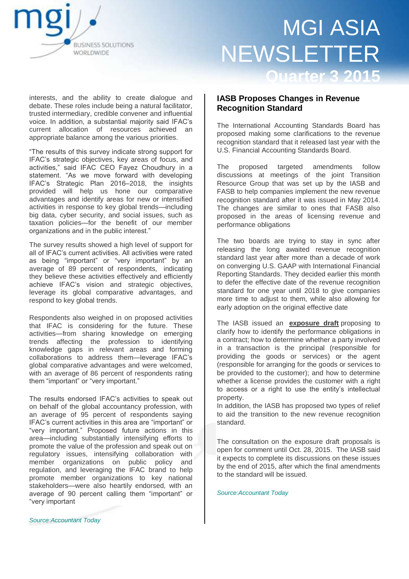

interests, and the ability to create dialogue and debate. These roles include being a natural facilitator, trusted intermediary, credible convener and influential voice. In addition, a substantial majority said IFAC's current allocation of resources achieved an appropriate balance among the various priorities.

―The results of this survey indicate strong support for IFAC's strategic objectives, key areas of focus, and activities," said IFAC CEO Fayez Choudhury in a statement. "As we move forward with developing IFAC's Strategic Plan 2016–2018, the insights provided will help us hone our comparative advantages and identify areas for new or intensified activities in response to key global trends—including big data, cyber security, and social issues, such as taxation policies—for the benefit of our member organizations and in the public interest."

The survey results showed a high level of support for all of IFAC's current activities. All activities were rated as being "important" or "very important" by an average of 89 percent of respondents, indicating they believe these activities effectively and efficiently achieve IFAC's vision and strategic objectives, leverage its global comparative advantages, and respond to key global trends.

Respondents also weighed in on proposed activities that IFAC is considering for the future. These activities—from sharing knowledge on emerging trends affecting the profession to identifying knowledge gaps in relevant areas and forming collaborations to address them—leverage IFAC's global comparative advantages and were welcomed, with an average of 86 percent of respondents rating them "important" or "very important."

The results endorsed IFAC's activities to speak out on behalf of the global accountancy profession, with an average of 95 percent of respondents saying IFAC's current activities in this area are "important" or "very important." Proposed future actions in this area—including substantially intensifying efforts to promote the value of the profession and speak out on regulatory issues, intensifying collaboration with member organizations on public policy and regulation, and leveraging the IFAC brand to help promote member organizations to key national stakeholders—were also heartily endorsed, with an average of 90 percent calling them "important" or ―very important

### **IASB Proposes Changes in Revenue Recognition Standard**

The International Accounting Standards Board has proposed making some clarifications to the revenue recognition standard that it released last year with the U.S. Financial Accounting Standards Board.

The proposed targeted amendments follow discussions at meetings of the joint Transition Resource Group that was set up by the IASB and FASB to help companies implement the new revenue recognition standard after it was issued in May 2014. The changes are similar to ones that FASB also proposed in the areas of licensing revenue and performance obligations

The two boards are trying to stay in sync after releasing the long awaited revenue recognition standard last year after more than a decade of work on converging U.S. GAAP with International Financial Reporting Standards. They decided earlier this month to defer the effective date of the revenue recognition standard for one year until 2018 to give companies more time to adjust to them, while also allowing for early adoption on the original effective date

The IASB issued an **[exposure draft](http://www.ifrs.org/Current-Projects/IASB-Projects/Clarifications-IFRS-15-Issues-from-TRG-discussions/Documents/ED_Clarifications-to-IFRS%2015.pdf)** proposing to clarify how to identify the performance obligations in a contract; how to determine whether a party involved in a transaction is the principal (responsible for providing the goods or services) or the agent (responsible for arranging for the goods or services to be provided to the customer); and how to determine whether a license provides the customer with a right to access or a right to use the entity's intellectual property.

In addition, the IASB has proposed two types of relief to aid the transition to the new revenue recognition standard.

The consultation on the exposure draft proposals is open for comment until Oct. 28, 2015. The IASB said it expects to complete its discussions on these issues by the end of 2015, after which the final amendments to the standard will be issued.

*Source:Accountant Today*

*Source:Accountant Today*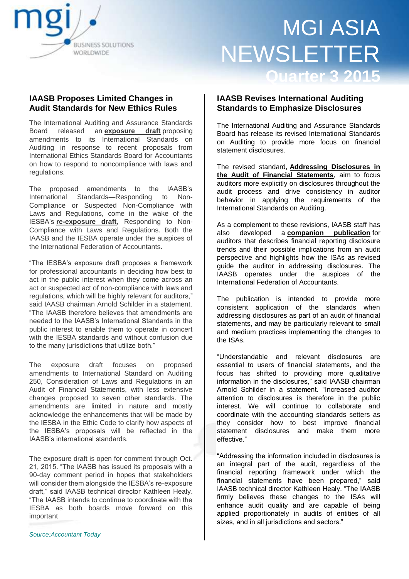

## **IAASB Proposes Limited Changes in Audit Standards for New Ethics Rules**

The International Auditing and Assurance Standards Board released an **[exposure](https://www.ifac.org/publications-resources/responding-non-compliance-or-suspected-non-compliance-laws-and-regulations?utm_source=IFAC+Main+List&utm_campaign=9244fefbcc-IAASB_Press_Release_7_23_157_23_2015&utm_medium=email&utm_term=0_cc08d67019-9244fefbcc-80291285) draft** proposing amendments to its International Standards on Auditing in response to recent proposals from International Ethics Standards Board for Accountants on how to respond to noncompliance with laws and regulations.

The proposed amendments to the IAASB's International Standards—Responding to Non-Compliance or Suspected Non-Compliance with Laws and Regulations, come in the wake of the IESBA's **[re-exposure draft](http://www.ifac.org/publications-resources/responding-non-compliance-laws-regulations?utm_source=IFAC+Main+List&utm_campaign=9244fefbcc-IAASB_Press_Release_7_23_157_23_2015&utm_medium=email&utm_term=0_cc08d67019-9244fefbcc-&utm_source=IFAC+Main+List&utm_campaign=9244fefbcc-IAASB_Press_Release_7_23_157_23_2015&utm_medium=email&utm_term=0_cc08d67019-9244fefbcc-80291285)**, Responding to Non-Compliance with Laws and Regulations. Both the IAASB and the IESBA operate under the auspices of the International Federation of Accountants.

―The IESBA's exposure draft proposes a framework for professional accountants in deciding how best to act in the public interest when they come across an act or suspected act of non-compliance with laws and regulations, which will be highly relevant for auditors," said IAASB chairman Arnold Schilder in a statement. ―The IAASB therefore believes that amendments are needed to the IAASB's International Standards in the public interest to enable them to operate in concert with the IESBA standards and without confusion due to the many jurisdictions that utilize both."

The exposure draft focuses on proposed amendments to International Standard on Auditing 250, Consideration of Laws and Regulations in an Audit of Financial Statements, with less extensive changes proposed to seven other standards. The amendments are limited in nature and mostly acknowledge the enhancements that will be made by the IESBA in the Ethic Code to clarify how aspects of the IESBA's proposals will be reflected in the IAASB's international standards.

The exposure draft is open for comment through Oct. 21, 2015. "The IAASB has issued its proposals with a 90-day comment period in hopes that stakeholders will consider them alongside the IESBA's re-exposure draft," said IAASB technical director Kathleen Healy. ―The IAASB intends to continue to coordinate with the IESBA as both boards move forward on this important

The International Auditing and Assurance Standards Board has release its revised International Standards on Auditing to provide more focus on financial statement disclosures.

The revised standard, **[Addressing Disclosures in](https://www.ifac.org/publications-resources/addressing-disclosures-audit-financial-statements?utm_source=IFAC+Main+List&utm_campaign=8de03edbe6-IAASB_Press_Release_7_15_157_15_2015&utm_medium=email&utm_term=0_cc08d67019-8de03edbe6-80291285)  [the Audit of Financial Statements](https://www.ifac.org/publications-resources/addressing-disclosures-audit-financial-statements?utm_source=IFAC+Main+List&utm_campaign=8de03edbe6-IAASB_Press_Release_7_15_157_15_2015&utm_medium=email&utm_term=0_cc08d67019-8de03edbe6-80291285)**, aim to focus auditors more explicitly on disclosures throughout the audit process and drive consistency in auditor behavior in applying the requirements of the International Standards on Auditing.

As a complement to these revisions, IAASB staff has<br>also developed a **companion** publication for developed a **companion publication** for auditors that describes financial reporting disclosure trends and their possible implications from an audit perspective and highlights how the ISAs as revised guide the auditor in addressing disclosures. The IAASB operates under the auspices of the International Federation of Accountants.

The publication is intended to provide more consistent application of the standards when addressing disclosures as part of an audit of financial statements, and may be particularly relevant to small and medium practices implementing the changes to the ISAs.

―Understandable and relevant disclosures are essential to users of financial statements, and the focus has shifted to providing more qualitative information in the disclosures," said IAASB chairman Arnold Schilder in a statement. "Increased auditor attention to disclosures is therefore in the public interest. We will continue to collaborate and coordinate with the accounting standards setters as they consider how to best improve financial statement disclosures and make them more effective."

―Addressing the information included in disclosures is an integral part of the audit, regardless of the financial reporting framework under which the financial statements have been prepared," said IAASB technical director Kathleen Healy. "The IAASB firmly believes these changes to the ISAs will enhance audit quality and are capable of being applied proportionately in audits of entities of all sizes, and in all jurisdictions and sectors."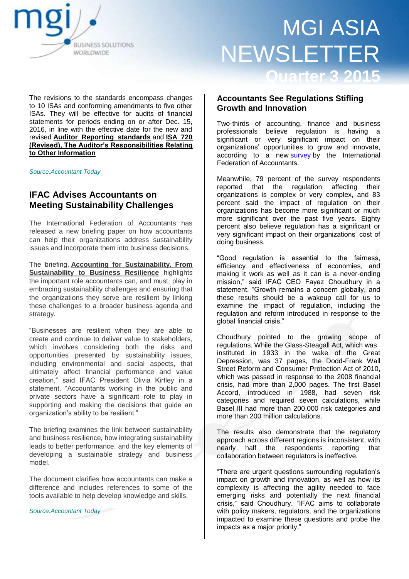

The revisions to the standards encompass changes to 10 ISAs and conforming amendments to five other ISAs. They will be effective for audits of financial statements for periods ending on or after Dec. 15, 2016, in line with the effective date for the new and revised **[Auditor Reporting standards](http://www.iaasb.org/new-auditors-report?utm_source=IFAC+Main+List&utm_campaign=8de03edbe6-IAASB_Press_Release_7_15_157_15_2015&utm_medium=email&utm_term=0_cc08d67019-8de03edbe6-80291285)** and **[ISA 720](https://www.ifac.org/publications-resources/international-standard-auditing-isa-720-revised-auditor-s-responsibilities--0?utm_source=IFAC+Main+List&utm_campaign=8de03edbe6-IAASB_Press_Release_7_15_157_15_2015&utm_medium=email&utm_term=0_cc08d67019-8de03edbe6-80291285)  [\(Revised\), The Auditor's Responsibilities Relating](https://www.ifac.org/publications-resources/international-standard-auditing-isa-720-revised-auditor-s-responsibilities--0?utm_source=IFAC+Main+List&utm_campaign=8de03edbe6-IAASB_Press_Release_7_15_157_15_2015&utm_medium=email&utm_term=0_cc08d67019-8de03edbe6-80291285)  [to Other Information](https://www.ifac.org/publications-resources/international-standard-auditing-isa-720-revised-auditor-s-responsibilities--0?utm_source=IFAC+Main+List&utm_campaign=8de03edbe6-IAASB_Press_Release_7_15_157_15_2015&utm_medium=email&utm_term=0_cc08d67019-8de03edbe6-80291285)**

*Source:Accountant Today*

## **IFAC Advises Accountants on Meeting Sustainability Challenges**

The International Federation of Accountants has released a new briefing paper on how accountants can help their organizations address sustainability issues and incorporate them into business decisions.

The briefing, **[Accounting for Sustainability. From](https://www.ifac.org/publications-resources/accounting-sustainability-sustainability-business-resilience?utm_source=IFAC+Main+List&utm_campaign=2312112904-IFAC_Sustainability_Press_Release_7_29_157_28_2015&utm_medium=email&utm_term=0_cc08d67019-2312112904-80291285)  [Sustainability to Business Resilience](https://www.ifac.org/publications-resources/accounting-sustainability-sustainability-business-resilience?utm_source=IFAC+Main+List&utm_campaign=2312112904-IFAC_Sustainability_Press_Release_7_29_157_28_2015&utm_medium=email&utm_term=0_cc08d67019-2312112904-80291285)** highlights the important role accountants can, and must, play in embracing sustainability challenges and ensuring that the organizations they serve are resilient by linking these challenges to a broader business agenda and strategy.

―Businesses are resilient when they are able to create and continue to deliver value to stakeholders, which involves considering both the risks and opportunities presented by sustainability issues, including environmental and social aspects, that ultimately affect financial performance and value creation," said IFAC President Olivia Kirtley in a statement. "Accountants working in the public and private sectors have a significant role to play in supporting and making the decisions that guide an organization's ability to be resilient."

The briefing examines the link between sustainability and business resilience, how integrating sustainability leads to better performance, and the key elements of developing a sustainable strategy and business model.

The document clarifies how accountants can make a difference and includes references to some of the tools available to help develop knowledge and skills.

*Source:Accountant Today*

### **Accountants See Regulations Stifling Growth and Innovation**

Two-thirds of accounting, finance and business professionals believe regulation is having a significant or very significant impact on their organizations' opportunities to grow and innovate, according to a new [survey](http://www.ifac.org/publications-resources/regulation-and-growth-ifac-global-regulatory-survey?utm_source=IFAC+Main+List&utm_campaign=185c71bad4-IFAC_PPR_Press_Release_9_8_159_8_2015&utm_medium=email&utm_term=0_cc08d67019-185c71bad4-80380649) by the International Federation of Accountants.

Meanwhile, 79 percent of the survey respondents reported that the regulation affecting their organizations is complex or very complex, and 83 percent said the impact of regulation on their organizations has become more significant or much more significant over the past five years. Eighty percent also believe regulation has a significant or very significant impact on their organizations' cost of doing business.

―Good regulation is essential to the fairness, efficiency and effectiveness of economies, and making it work as well as it can is a never-ending mission," said IFAC CEO Fayez Choudhury in a statement. "Growth remains a concern globally, and these results should be a wakeup call for us to examine the impact of regulation, including the regulation and reform introduced in response to the global financial crisis."

Choudhury pointed to the growing scope of regulations. While the Glass-Steagall Act, which was instituted in 1933 in the wake of the Great Depression, was 37 pages, the Dodd-Frank Wall Street Reform and Consumer Protection Act of 2010, which was passed in response to the 2008 financial crisis, had more than 2,000 pages. The first Basel Accord, introduced in 1988, had seven risk categories and required seven calculations, while Basel III had more than 200,000 risk categories and more than 200 million calculations.

The results also demonstrate that the regulatory approach across different regions is inconsistent, with nearly half the respondents reporting that collaboration between regulators is ineffective.

―There are urgent questions surrounding regulation's impact on growth and innovation, as well as how its complexity is affecting the agility needed to face emerging risks and potentially the next financial crisis," said Choudhury. "IFAC aims to collaborate with policy makers, regulators, and the organizations impacted to examine these questions and probe the impacts as a major priority."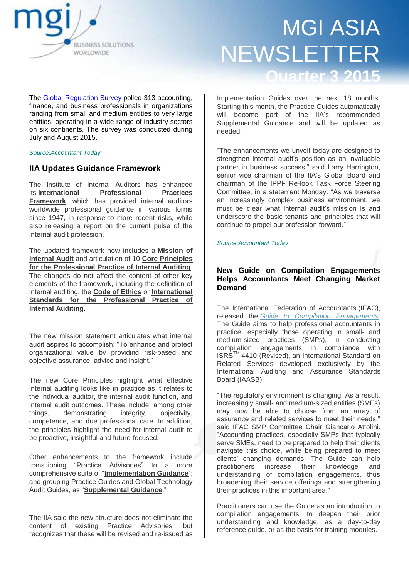

The [Global Regulation Survey](http://www.ifac.org/publications-resources/regulation-and-growth-ifac-global-regulatory-survey?utm_source=IFAC+Main+List&utm_campaign=185c71bad4-IFAC_PPR_Press_Release_9_8_159_8_2015&utm_medium=email&utm_term=0_cc08d67019-185c71bad4-80380649) polled 313 accounting, finance, and business professionals in organizations ranging from small and medium entities to very large entities, operating in a wide range of industry sectors on six continents. The survey was conducted during July and August 2015.

*Source:Accountant Today*

### **IIA Updates Guidance Framework**

The Institute of Internal Auditors has enhanced its **[International Professional Practices](https://na.theiia.org/standards-guidance/Pages/New-IPPF.aspx)  [Framework](https://na.theiia.org/standards-guidance/Pages/New-IPPF.aspx)**, which has provided internal auditors worldwide professional guidance in various forms since 1947, in response to more recent risks, while also releasing a report on the current pulse of the internal audit profession.

The updated framework now includes a **[Mission of](https://na.theiia.org/standards-guidance/Pages/Mission-of-Internal-Audit.aspx)  [Internal Audit](https://na.theiia.org/standards-guidance/Pages/Mission-of-Internal-Audit.aspx)** and articulation of 10 **[Core Principles](https://na.theiia.org/standards-guidance/mandatory-guidance/Pages/Core-Principles-for-the-Professional-Practice-of-Internal-Auditing.aspx)  [for the Professional Practice of Internal Auditing](https://na.theiia.org/standards-guidance/mandatory-guidance/Pages/Core-Principles-for-the-Professional-Practice-of-Internal-Auditing.aspx)**. The changes do not affect the content of other key elements of the framework, including the definition of internal auditing, the **[Code of Ethics](https://na.theiia.org/standards-guidance/mandatory-guidance/Pages/Code-of-Ethics.aspx)** or **[International](https://na.theiia.org/standards-guidance/mandatory-guidance/Pages/Standards.aspx)  [Standards for the Professional Practice of](https://na.theiia.org/standards-guidance/mandatory-guidance/Pages/Standards.aspx)  [Internal Auditing](https://na.theiia.org/standards-guidance/mandatory-guidance/Pages/Standards.aspx)**.

The new mission statement articulates what internal audit aspires to accomplish: "To enhance and protect organizational value by providing risk-based and objective assurance, advice and insight."

The new Core Principles highlight what effective internal auditing looks like in practice as it relates to the individual auditor, the internal audit function, and internal audit outcomes. These include, among other things, demonstrating integrity, objectivity, competence, and due professional care. In addition, the principles highlight the need for internal audit to be proactive, insightful and future-focused.

Other enhancements to the framework include transitioning "Practice Advisories" to a more comprehensive suite of "[Implementation Guidance](https://na.theiia.org/standards-guidance/recommended-guidance/Pages/Practice-Advisories.aspx)"; and grouping Practice Guides and Global Technology Audit Guides, as "**[Supplemental Guidance](https://na.theiia.org/standards-guidance/recommended-guidance/practice-guides/Pages/Practice-Guides.aspx)**."

The IIA said the new structure does not eliminate the content of existing Practice Advisories, but recognizes that these will be revised and re-issued as Implementation Guides over the next 18 months. Starting this month, the Practice Guides automatically will become part of the IIA's recommended Supplemental Guidance and will be updated as needed.

―The enhancements we unveil today are designed to strengthen internal audit's position as an invaluable partner in business success," said Larry Harrington, senior vice chairman of the IIA's Global Board and chairman of the IPPF Re-look Task Force Steering Committee, in a statement Monday. "As we traverse an increasingly complex business environment, we must be clear what internal audit's mission is and underscore the basic tenants and principles that will continue to propel our profession forward."

*Source:Accountant Today*

### **New Guide on Compilation Engagements Helps Accountants Meet Changing Market Demand**

The International Federation of Accountants (IFAC), released the *[Guide to Compilation Engagements](http://www.ifac.org/publications-resources/guide-compilation-engagements)*. The Guide aims to help professional accountants in practice, especially those operating in small- and medium-sized practices (SMPs), in conducting compilation engagements in compliance with ISRSTM 4410 (Revised), an International Standard on Related Services developed exclusively by the International Auditing and Assurance Standards Board (IAASB).

―The regulatory environment is changing. As a result, increasingly small- and medium-sized entities (SMEs) may now be able to choose from an array of assurance and related services to meet their needs." said IFAC SMP Committee Chair Giancarlo Attolini. "Accounting practices, especially SMPs that typically serve SMEs, need to be prepared to help their clients navigate this choice, while being prepared to meet clients' changing demands. The Guide can help practitioners increase their knowledge and understanding of compilation engagements, thus broadening their service offerings and strengthening their practices in this important area."

Practitioners can use the Guide as an introduction to compilation engagements, to deepen their prior understanding and knowledge, as a day-to-day reference guide, or as the basis for training modules.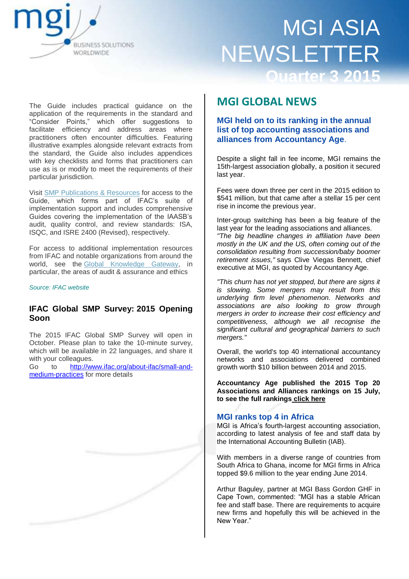

The Guide includes practical guidance on the application of the requirements in the standard and ―Consider Points,‖ which offer suggestions to facilitate efficiency and address areas where practitioners often encounter difficulties. Featuring illustrative examples alongside relevant extracts from the standard, the Guide also includes appendices with key checklists and forms that practitioners can use as is or modify to meet the requirements of their particular jurisdiction.

Visit [SMP Publications & Resources](http://www.ifac.org/about-ifac/small-and-medium-practices/publications-resources) for access to the Guide, which forms part of IFAC's suite of implementation support and includes comprehensive Guides covering the implementation of the IAASB's audit, quality control, and review standards: ISA, ISQC, and ISRE 2400 (Revised), respectively.

For access to additional implementation resources from IFAC and notable organizations from around the world, see the [Global Knowledge Gateway,](http://www.ifac.org/Gateway) in particular, the areas of audit & assurance and ethics

#### *Source: IFAC website*

### **IFAC Global SMP Survey: 2015 Opening Soon**

The 2015 IFAC Global SMP Survey will open in October. Please plan to take the 10-minute survey, which will be available in 22 languages, and share it with your colleagues.

Go to [http://www.ifac.org/about-ifac/small-and](http://www.ifac.org/about-ifac/small-and-medium-practices)[medium-practices](http://www.ifac.org/about-ifac/small-and-medium-practices) for more details

## **MGI GLOBAL NEWS**

**MGI held on to its ranking in the annual list of top accounting associations and alliances from Accountancy Age**.

Despite a slight fall in fee income, MGI remains the 15th-largest association globally, a position it secured last year.

Fees were down three per cent in the 2015 edition to \$541 million, but that came after a stellar 15 per cent rise in income the previous year.

Inter-group switching has been a big feature of the last year for the leading associations and alliances. *"The big headline changes in affiliation have been mostly in the UK and the US, often coming out of the consolidation resulting from succession/baby boomer retirement issues,"* says Clive Viegas Bennett, chief executive at MGI, as quoted by Accountancy Age.

*"This churn has not yet stopped, but there are signs it is slowing. Some mergers may result from this underlying firm level phenomenon. Networks and associations are also looking to grow through mergers in order to increase their cost efficiency and competitiveness, although we all recognise the significant cultural and geographical barriers to such mergers."*

Overall, the world's top 40 international accountancy networks and associations delivered combined growth worth \$10 billion between 2014 and 2015.

**Accountancy Age published the 2015 Top 20 Associations and Alliances rankings on 15 July, to see the full rankings [click here](http://www.accountancyage.com/digital_assets/9019/2015_top_40_table_2b_v1.pdf)**

### **MGI ranks top 4 in Africa**

MGI is Africa's fourth-largest accounting association, according to latest analysis of fee and staff data by the International Accounting Bulletin (IAB).

With members in a diverse range of countries from South Africa to Ghana, income for MGI firms in Africa topped \$9.6 million to the year ending June 2014.

Arthur Baguley, partner at MGI Bass Gordon GHF in Cape Town, commented: "MGI has a stable African fee and staff base. There are requirements to acquire new firms and hopefully this will be achieved in the New Year."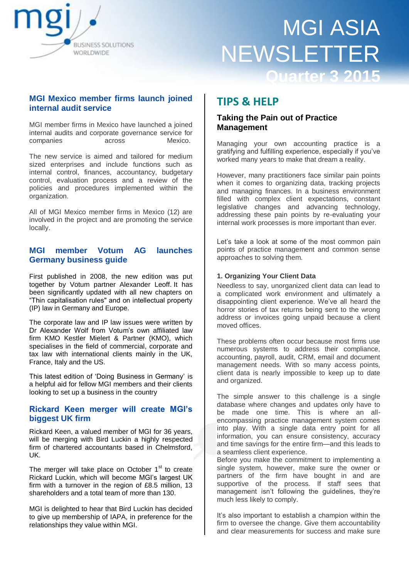

### **MGI Mexico member firms launch joined internal audit service**

MGI member firms in Mexico have launched a joined internal audits and corporate governance service for companies across Mexico.

The new service is aimed and tailored for medium sized enterprises and include functions such as internal control, finances, accountancy, budgetary control, evaluation process and a review of the policies and procedures implemented within the organization.

All of MGI Mexico member firms in Mexico (12) are involved in the project and are promoting the service locally.

### **MGI member Votum AG launches Germany business guide**

First published in 2008, the new edition was put together by Votum partner Alexander Leoff. It has been significantly updated with all new chapters on ―Thin capitalisation rules" and on intellectual property (IP) law in Germany and Europe.

The corporate law and IP law issues were written by Dr Alexander Wolf from Votum's own affiliated law firm KMO Kestler Mielert & Partner (KMO), which specialises in the field of commercial, corporate and tax law with international clients mainly in the UK, France, Italy and the US.

This latest edition of 'Doing Business in Germany' is a helpful aid for fellow MGI members and their clients looking to set up a business in the country

### **Rickard Keen merger will create MGI's biggest UK firm**

Rickard Keen, a valued member of MGI for 36 years, will be merging with Bird Luckin a highly respected firm of chartered accountants based in Chelmsford, UK.

The merger will take place on October 1<sup>st</sup> to create Rickard Luckin, which will become MGI's largest UK firm with a turnover in the region of £8.5 million, 13 shareholders and a total team of more than 130.

MGI is delighted to hear that Bird Luckin has decided to give up membership of IAPA, in preference for the relationships they value within MGI.

# **TIPS & HELP**

### **Taking the Pain out of Practice Management**

Managing your own accounting practice is a gratifying and fulfilling experience, especially if you've worked many years to make that dream a reality.

However, many practitioners face similar pain points when it comes to organizing data, tracking projects and managing finances. In a business environment filled with complex client expectations, constant legislative changes and advancing technology, addressing these pain points by re-evaluating your internal work processes is more important than ever.

Let's take a look at some of the most common pain points of practice management and common sense approaches to solving them.

### **1. Organizing Your Client Data**

Needless to say, unorganized client data can lead to a complicated work environment and ultimately a disappointing client experience. We've all heard the horror stories of tax returns being sent to the wrong address or invoices going unpaid because a client moved offices.

These problems often occur because most firms use numerous systems to address their compliance, accounting, payroll, audit, CRM, email and document management needs. With so many access points, client data is nearly impossible to keep up to date and organized.

The simple answer to this challenge is a single database where changes and updates only have to be made one time. This is where an allencompassing practice management system comes into play. With a single data entry point for all information, you can ensure consistency, accuracy and time savings for the entire firm—and this leads to a seamless client experience.

Before you make the commitment to implementing a single system, however, make sure the owner or partners of the firm have bought in and are supportive of the process. If staff sees that management isn't following the guidelines, they're much less likely to comply.

It's also important to establish a champion within the firm to oversee the change. Give them accountability and clear measurements for success and make sure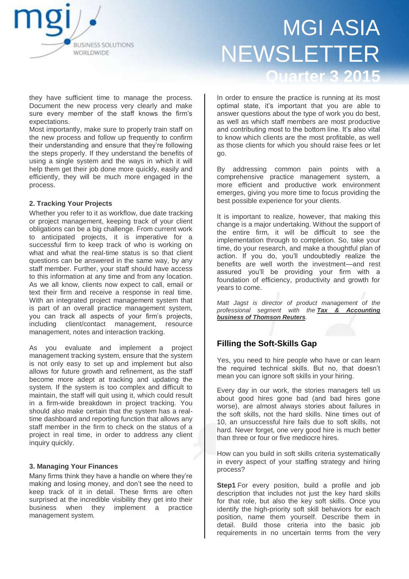

they have sufficient time to manage the process. Document the new process very clearly and make sure every member of the staff knows the firm's expectations.

Most importantly, make sure to properly train staff on the new process and follow up frequently to confirm their understanding and ensure that they're following the steps properly. If they understand the benefits of using a single system and the ways in which it will help them get their job done more quickly, easily and efficiently, they will be much more engaged in the process.

### **2. Tracking Your Projects**

Whether you refer to it as workflow, due date tracking or project management, keeping track of your client obligations can be a big challenge. From current work to anticipated projects, it is imperative for a successful firm to keep track of who is working on what and what the real-time status is so that client questions can be answered in the same way, by any staff member. Further, your staff should have access to this information at any time and from any location. As we all know, clients now expect to call, email or text their firm and receive a response in real time. With an integrated project management system that is part of an overall practice management system, you can track all aspects of your firm's projects, including client/contact management, resource management, notes and interaction tracking.

As you evaluate and implement a project management tracking system, ensure that the system is not only easy to set up and implement but also allows for future growth and refinement, as the staff become more adept at tracking and updating the system. If the system is too complex and difficult to maintain, the staff will quit using it, which could result in a firm-wide breakdown in project tracking. You should also make certain that the system has a realtime dashboard and reporting function that allows any staff member in the firm to check on the status of a project in real time, in order to address any client inquiry quickly.

#### **3. Managing Your Finances**

Many firms think they have a handle on where they're making and losing money, and don't see the need to keep track of it in detail. These firms are often surprised at the incredible visibility they get into their business when they implement a practice management system.

In order to ensure the practice is running at its most optimal state, it's important that you are able to answer questions about the type of work you do best, as well as which staff members are most productive and contributing most to the bottom line. It's also vital to know which clients are the most profitable, as well as those clients for which you should raise fees or let go.

By addressing common pain points with a comprehensive practice management system, a more efficient and productive work environment emerges, giving you more time to focus providing the best possible experience for your clients.

It is important to realize, however, that making this change is a major undertaking. Without the support of the entire firm, it will be difficult to see the implementation through to completion. So, take your time, do your research, and make a thoughtful plan of action. If you do, you'll undoubtedly realize the benefits are well worth the investment—and rest assured you'll be providing your firm with a foundation of efficiency, productivity and growth for years to come.

*Matt Jagst is director of product management of the professional segment with the [Tax & Accounting](https://cs.thomsonreuters.com/PracticeSmarter/?utm_campaign=PRA-Smarter2015&utm_source=WP_CSW&utm_medium=DA_MM_S-594x241_T&utm_content=TL_HPB-U1)  [business of Thomson Reuters](https://cs.thomsonreuters.com/PracticeSmarter/?utm_campaign=PRA-Smarter2015&utm_source=WP_CSW&utm_medium=DA_MM_S-594x241_T&utm_content=TL_HPB-U1).*

### **Filling the Soft-Skills Gap**

Yes, you need to hire people who have or can learn the required technical skills. But no, that doesn't mean you can ignore soft skills in your hiring.

Every day in our work, the stories managers tell us about good hires gone bad (and bad hires gone worse), are almost always stories about failures in the soft skills, not the hard skills. Nine times out of 10, an unsuccessful hire fails due to soft skills, not hard. Never forget, one very good hire is much better than three or four or five mediocre hires.

How can you build in soft skills criteria systematically in every aspect of your staffing strategy and hiring process?

**Step1** For every position, build a profile and job description that includes not just the key hard skills for that role, but also the key soft skills. Once you identify the high-priority soft skill behaviors for each position, name them yourself. Describe them in detail. Build those criteria into the basic job requirements in no uncertain terms from the very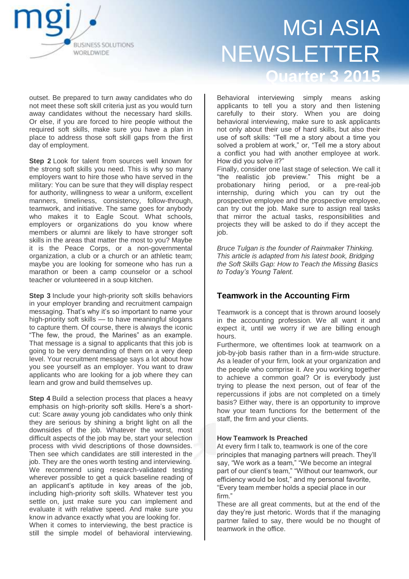

outset. Be prepared to turn away candidates who do not meet these soft skill criteria just as you would turn away candidates without the necessary hard skills. Or else, if you are forced to hire people without the required soft skills, make sure you have a plan in place to address those soft skill gaps from the first day of employment.

**Step 2** Look for talent from sources well known for the strong soft skills you need. This is why so many employers want to hire those who have served in the military: You can be sure that they will display respect for authority, willingness to wear a uniform, excellent manners, timeliness, consistency, follow-through, teamwork, and initiative. The same goes for anybody who makes it to Eagle Scout. What schools, employers or organizations do you know where members or alumni are likely to have stronger soft skills in the areas that matter the most to you? Maybe it is the Peace Corps, or a non-governmental organization, a club or a church or an athletic team; maybe you are looking for someone who has run a marathon or been a camp counselor or a school teacher or volunteered in a soup kitchen.

**Step 3** Include your high-priority soft skills behaviors in your employer branding and recruitment campaign messaging. That's why it's so important to name your high-priority soft skills — to have meaningful slogans to capture them. Of course, there is always the iconic "The few, the proud, the Marines" as an example. That message is a signal to applicants that this job is going to be very demanding of them on a very deep level. Your recruitment message says a lot about how you see yourself as an employer. You want to draw applicants who are looking for a job where they can learn and grow and build themselves up.

**Step 4** Build a selection process that places a heavy emphasis on high-priority soft skills. Here's a shortcut: Scare away young job candidates who only think they are serious by shining a bright light on all the downsides of the job. Whatever the worst, most difficult aspects of the job may be, start your selection process with vivid descriptions of those downsides. Then see which candidates are still interested in the job. They are the ones worth testing and interviewing. We recommend using research-validated testing wherever possible to get a quick baseline reading of an applicant's aptitude in key areas of the job, including high-priority soft skills. Whatever test you settle on, just make sure you can implement and evaluate it with relative speed. And make sure you know in advance exactly what you are looking for. When it comes to interviewing, the best practice is still the simple model of behavioral interviewing.

Behavioral interviewing simply means asking applicants to tell you a story and then listening carefully to their story. When you are doing behavioral interviewing, make sure to ask applicants not only about their use of hard skills, but also their use of soft skills: "Tell me a story about a time you solved a problem at work," or, "Tell me a story about a conflict you had with another employee at work. How did you solve it?"

Finally, consider one last stage of selection. We call it "the realistic job preview." This might be a probationary hiring period, or a pre-real-job internship, during which you can try out the prospective employee and the prospective employee, can try out the job. Make sure to assign real tasks that mirror the actual tasks, responsibilities and projects they will be asked to do if they accept the job.

*Bruce Tulgan is the founder of Rainmaker Thinking. This article is adapted from his latest book, Bridging the Soft Skills Gap: How to Teach the Missing Basics to Today's Young Talent.*

## **Teamwork in the Accounting Firm**

Teamwork is a concept that is thrown around loosely in the accounting profession. We all want it and expect it, until we worry if we are billing enough hours.

Furthermore, we oftentimes look at teamwork on a job-by-job basis rather than in a firm-wide structure. As a leader of your firm, look at your organization and the people who comprise it. Are you working together to achieve a common goal? Or is everybody just trying to please the next person, out of fear of the repercussions if jobs are not completed on a timely basis? Either way, there is an opportunity to improve how your team functions for the betterment of the staff, the firm and your clients.

### **How Teamwork Is Preached**

At every firm I talk to, teamwork is one of the core principles that managing partners will preach. They'll say, "We work as a team," "We become an integral part of our client's team," "Without our teamwork, our efficiency would be lost," and my personal favorite, ―Every team member holds a special place in our firm."

These are all great comments, but at the end of the day they're just rhetoric. Words that if the managing partner failed to say, there would be no thought of teamwork in the office.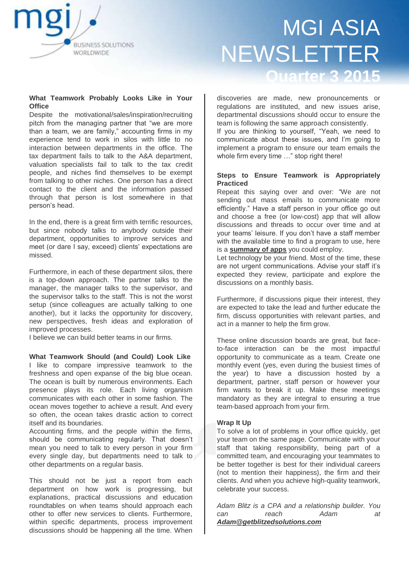

### **What Teamwork Probably Looks Like in Your Office**

Despite the motivational/sales/inspiration/recruiting pitch from the managing partner that "we are more than a team, we are family," accounting firms in my experience tend to work in silos with little to no interaction between departments in the office. The tax department fails to talk to the A&A department, valuation specialists fail to talk to the tax credit people, and niches find themselves to be exempt from talking to other niches. One person has a direct contact to the client and the information passed through that person is lost somewhere in that person's head.

In the end, there is a great firm with terrific resources, but since nobody talks to anybody outside their department, opportunities to improve services and meet (or dare I say, exceed) clients' expectations are missed.

Furthermore, in each of these department silos, there is a top-down approach. The partner talks to the manager, the manager talks to the supervisor, and the supervisor talks to the staff. This is not the worst setup (since colleagues are actually talking to one another), but it lacks the opportunity for discovery, new perspectives, fresh ideas and exploration of improved processes.

I believe we can build better teams in our firms.

**What Teamwork Should (and Could) Look Like** I like to compare impressive teamwork to the freshness and open expanse of the big blue ocean. The ocean is built by numerous environments. Each presence plays its role. Each living organism communicates with each other in some fashion. The ocean moves together to achieve a result. And every so often, the ocean takes drastic action to correct itself and its boundaries.

Accounting firms, and the people within the firms, should be communicating regularly. That doesn't mean you need to talk to every person in your firm every single day, but departments need to talk to other departments on a regular basis.

This should not be just a report from each department on how work is progressing, but explanations, practical discussions and education roundtables on when teams should approach each other to offer new services to clients. Furthermore, within specific departments, process improvement discussions should be happening all the time. When

discoveries are made, new pronouncements or regulations are instituted, and new issues arise, departmental discussions should occur to ensure the team is following the same approach consistently.

If you are thinking to yourself, "Yeah, we need to communicate about these issues, and I'm going to implement a program to ensure our team emails the whole firm every time ..." stop right there!

#### **Steps to Ensure Teamwork is Appropriately Practiced**

Repeat this saying over and over: "We are not sending out mass emails to communicate more efficiently.‖ Have a staff person in your office go out and choose a free (or low-cost) app that will allow discussions and threads to occur over time and at your teams' leisure. If you don't have a staff member with the available time to find a program to use, here is a **[summary of apps](http://www.entrepreneur.com/article/238116)** you could employ.

Let technology be your friend. Most of the time, these are not urgent communications. Advise your staff it's expected they review, participate and explore the discussions on a monthly basis.

Furthermore, if discussions pique their interest, they are expected to take the lead and further educate the firm, discuss opportunities with relevant parties, and act in a manner to help the firm grow.

These online discussion boards are great, but faceto-face interaction can be the most impactful opportunity to communicate as a team. Create one monthly event (yes, even during the busiest times of the year) to have a discussion hosted by a department, partner, staff person or however your firm wants to break it up. Make these meetings mandatory as they are integral to ensuring a true team-based approach from your firm.

### **Wrap It Up**

To solve a lot of problems in your office quickly, get your team on the same page. Communicate with your staff that taking responsibility, being part of a committed team, and encouraging your teammates to be better together is best for their individual careers (not to mention their happiness), the firm and their clients. And when you achieve high-quality teamwork, celebrate your success.

*Adam Blitz is a CPA and a relationship builder. You can reach Adam at [Adam@getblitzedsolutions.com](mailto:Adam@getblitzedsolutions.com)*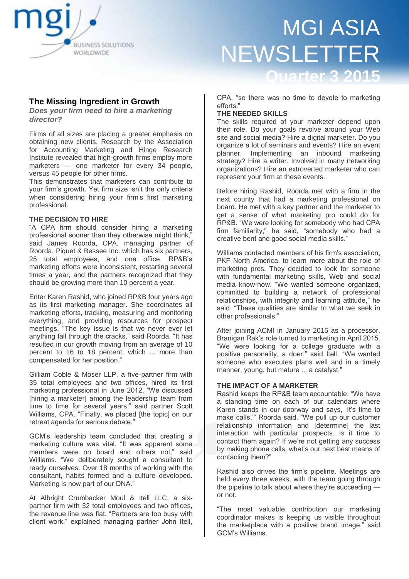

**The Missing Ingredient in Growth**

*Does your firm need to hire a marketing director?*

Firms of all sizes are placing a greater emphasis on obtaining new clients. Research by the Association for Accounting Marketing and Hinge Research Institute revealed that high-growth firms employ more marketers — one marketer for every 34 people, versus 45 people for other firms.

This demonstrates that marketers can contribute to your firm's growth. Yet firm size isn't the only criteria when considering hiring your firm's first marketing professional.

#### **THE DECISION TO HIRE**

"A CPA firm should consider hiring a marketing professional sooner than they otherwise might think," said James Roorda, CPA, managing partner of Roorda, Piquet & Bessee Inc. which has six partners, 25 total employees, and one office. RP&B's marketing efforts were inconsistent, restarting several times a year, and the partners recognized that they should be growing more than 10 percent a year.

Enter Karen Rashid, who joined RP&B four years ago as its first marketing manager. She coordinates all marketing efforts, tracking, measuring and monitoring everything, and providing resources for prospect meetings. "The key issue is that we never ever let anything fall through the cracks," said Roorda. "It has resulted in our growth moving from an average of 10 percent to 16 to 18 percent, which ... more than compensated for her position."

Gilliam Coble & Moser LLP, a five-partner firm with 35 total employees and two offices, hired its first marketing professional in June 2012. "We discussed [hiring a marketer] among the leadership team from time to time for several years," said partner Scott Williams, CPA. "Finally, we placed [the topic] on our retreat agenda for serious debate."

GCM's leadership team concluded that creating a marketing culture was vital. "It was apparent some members were on board and others not," said Williams. "We deliberately sought a consultant to ready ourselves. Over 18 months of working with the consultant, habits formed and a culture developed. Marketing is now part of our DNA."

At Albright Crumbacker Moul & Itell LLC, a sixpartner firm with 32 total employees and two offices, the revenue line was flat. "Partners are too busy with client work," explained managing partner John Itell, CPA, "so there was no time to devote to marketing efforts.'

#### **THE NEEDED SKILLS**

The skills required of your marketer depend upon their role. Do your goals revolve around your Web site and social media? Hire a digital marketer. Do you organize a lot of seminars and events? Hire an event planner. Implementing an inbound marketing strategy? Hire a writer. Involved in many networking organizations? Hire an extroverted marketer who can represent your firm at these events.

Before hiring Rashid, Roorda met with a firm in the next county that had a marketing professional on board. He met with a key partner and the marketer to get a sense of what marketing pro could do for RP&B. "We were looking for somebody who had CPA firm familiarity," he said, "somebody who had a creative bent and good social media skills."

Williams contacted members of his firm's association, PKF North America, to learn more about the role of marketing pros. They decided to look for someone with fundamental marketing skills, Web and social media know-how. "We wanted someone organized, committed to building a network of professional relationships, with integrity and learning attitude," he said. "These qualities are similar to what we seek in other professionals."

After joining ACMI in January 2015 as a processor, Branigan Rak's role turned to marketing in April 2015. "We were looking for a college graduate with a positive personality, a doer," said Itell. "We wanted someone who executes plans well and in a timely manner, young, but mature ... a catalyst."

### **THE IMPACT OF A MARKETER**

Rashid keeps the RP&B team accountable. "We have a standing time on each of our calendars where Karen stands in our doorway and says, 'It's time to make calls," Roorda said. "We pull up our customer relationship information and [determine] the last interaction with particular prospects. Is it time to contact them again? If we're not getting any success by making phone calls, what's our next best means of contacting them?"

Rashid also drives the firm's pipeline. Meetings are held every three weeks, with the team going through the pipeline to talk about where they're succeeding or not.

―The most valuable contribution our marketing coordinator makes is keeping us visible throughout the marketplace with a positive brand image," said GCM's Williams.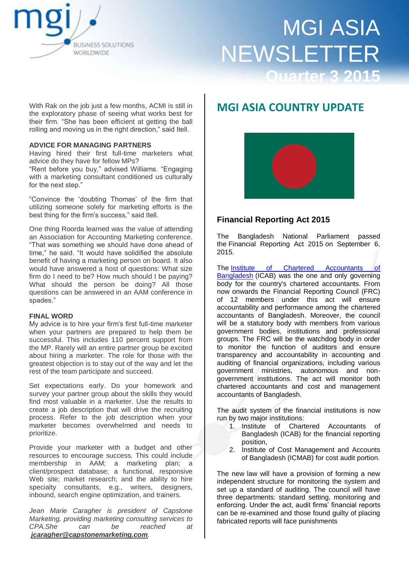

With Rak on the job just a few months, ACMI is still in the exploratory phase of seeing what works best for their firm. "She has been efficient at getting the ball rolling and moving us in the right direction," said Itell.

#### **ADVICE FOR MANAGING PARTNERS**

Having hired their first full-time marketers what advice do they have for fellow MPs?

"Rent before you buy," advised Williams. "Engaging with a marketing consultant conditioned us culturally for the next step."

―Convince the ‗doubting Thomas' of the firm that utilizing someone solely for marketing efforts is the best thing for the firm's success," said Itell.

One thing Roorda learned was the value of attending an Association for Accounting Marketing conference. ―That was something we should have done ahead of time," he said. "It would have solidified the absolute benefit of having a marketing person on board. It also would have answered a host of questions: What size firm do I need to be? How much should I be paying? What should the person be doing? All those questions can be answered in an AAM conference in spades."

#### **FINAL WORD**

My advice is to hire your firm's first full-time marketer when your partners are prepared to help them be successful. This includes 110 percent support from the MP. Rarely will an entire partner group be excited about hiring a marketer. The role for those with the greatest objection is to stay out of the way and let the rest of the team participate and succeed.

Set expectations early. Do your homework and survey your partner group about the skills they would find most valuable in a marketer. Use the results to create a job description that will drive the recruiting process. Refer to the job description when your marketer becomes overwhelmed and needs to prioritize.

Provide your marketer with a budget and other resources to encourage success. This could include membership in AAM; a marketing plan; a client/prospect database; a functional, responsive Web site; market research; and the ability to hire specialty consultants, e.g., writers, designers, inbound, search engine optimization, and trainers.

*Jean Marie Caragher is president of Capstone Marketing, providing marketing consulting services to CPA.She can be reached at [jcaragher@capstonemarketing.com](mailto:jcaragher@capstonemarketing.com).*

# **MGI ASIA COUNTRY UPDATE**



### **Financial Reporting Act 2015**

The Bangladesh National Parliament passed the Financial Reporting Act 2015 on September 6, 2015.

The [Institute of Chartered Accountants of](https://en.wikipedia.org/wiki/Institute_of_Chartered_Accountants_of_Bangladesh)  [Bangladesh](https://en.wikipedia.org/wiki/Institute_of_Chartered_Accountants_of_Bangladesh) (ICAB) was the one and only governing body for the country's chartered accountants. From now onwards the Financial Reporting Council (FRC) of 12 members under this act will ensure accountability and performance among the chartered accountants of Bangladesh. Moreover, the council will be a statutory body with members from various government bodies, institutions and professional groups. The FRC will be the watchdog body in order to monitor the function of auditors and ensure transparency and accountability in accounting and auditing of financial organizations, including various government ministries, autonomous and nongovernment institutions. The act will monitor both chartered accountants and cost and management accountants of Bangladesh.

The audit system of the financial institutions is now run by two major institutions:

- 1. Institute of Chartered Accountants of Bangladesh (ICAB) for the financial reporting position,
- 2. Institute of Cost Management and Accounts of Bangladesh (ICMAB) for cost audit portion.

The new law will have a provision of forming a new independent structure for monitoring the system and set up a standard of auditing. The council will have three departments: standard setting, monitoring and enforcing. Under the act, audit firms' financial reports can be re-examined and those found guilty of placing fabricated reports will face punishments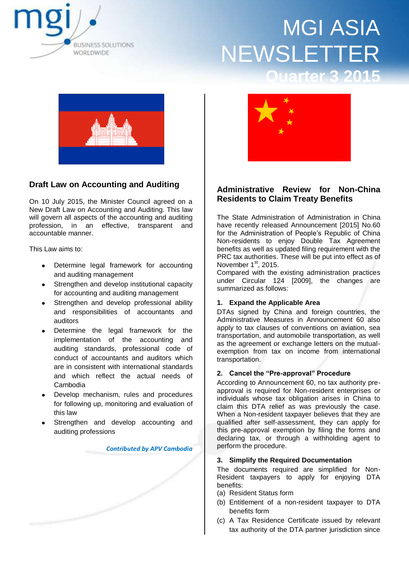



## **Draft Law on Accounting and Auditing**

On 10 July 2015, the Minister Council agreed on a New Draft Law on Accounting and Auditing. This law will govern all aspects of the accounting and auditing profession, in an effective, transparent and accountable manner.

This Law aims to:

- Determine legal framework for accounting and auditing management
- Strengthen and develop institutional capacity for accounting and auditing management
- Strengthen and develop professional ability and responsibilities of accountants and auditors
- Determine the legal framework for the implementation of the accounting and auditing standards, professional code of conduct of accountants and auditors which are in consistent with international standards and which reflect the actual needs of Cambodia
- Develop mechanism, rules and procedures for following up, monitoring and evaluation of this law
- Strengthen and develop accounting and auditing professions

*Contributed by APV Cambodia*



### **Administrative Review for Non-China Residents to Claim Treaty Benefits**

The State Administration of Administration in China have recently released Announcement [2015] No.60 for the Administration of People's Republic of China Non-residents to enjoy Double Tax Agreement benefits as well as updated filing requirement with the PRC tax authorities. These will be put into effect as of November  $1<sup>st</sup>$ , 2015.

Compared with the existing administration practices under Circular 124 [2009], the changes are summarized as follows:

### **1. Expand the Applicable Area**

DTAs signed by China and foreign countries, the Administrative Measures in Announcement 60 also apply to tax clauses of conventions on aviation, sea transportation, and automobile transportation, as well as the agreement or exchange letters on the mutualexemption from tax on income from international transportation.

#### **2. Cancel the "Pre-approval" Procedure**

According to Announcement 60, no tax authority preapproval is required for Non-resident enterprises or individuals whose tax obligation arises in China to claim this DTA relief as was previously the case. When a Non-resident taxpayer believes that they are qualified after self-assessment, they can apply for this pre-approval exemption by filing the forms and declaring tax, or through a withholding agent to perform the procedure.

#### **3. Simplify the Required Documentation**

The documents required are simplified for Non-Resident taxpayers to apply for enjoying DTA benefits:

- (a) Resident Status form
- (b) Entitlement of a non-resident taxpayer to DTA benefits form
- (c) A Tax Residence Certificate issued by relevant tax authority of the DTA partner jurisdiction since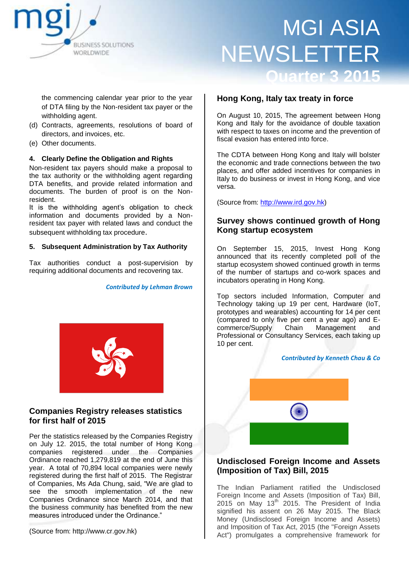

the commencing calendar year prior to the year of DTA filing by the Non-resident tax payer or the withholding agent.

- (d) Contracts, agreements, resolutions of board of directors, and invoices, etc.
- (e) Other documents.

### **4. Clearly Define the Obligation and Rights**

Non-resident tax payers should make a proposal to the tax authority or the withholding agent regarding DTA benefits, and provide related information and documents. The burden of proof is on the Nonresident.

It is the withholding agent's obligation to check information and documents provided by a Nonresident tax payer with related laws and conduct the subsequent withholding tax procedure.

#### **5. Subsequent Administration by Tax Authority**

Tax authorities conduct a post-supervision by requiring additional documents and recovering tax.

*Contributed by Lehman Brown*



### **Companies Registry releases statistics for first half of 2015**

Per the statistics released by the Companies Registry on July 12. 2015, the total number of Hong Kong companies registered under the Companies Ordinance reached 1,279,819 at the end of June this year. A total of 70,894 local companies were newly registered during the first half of 2015. The Registrar of Companies, Ms Ada Chung, said, "We are glad to see the smooth implementation of the new Companies Ordinance since March 2014, and that the business community has benefited from the new measures introduced under the Ordinance."

(Source from: http://www.cr.gov.hk)

### **Hong Kong, Italy tax treaty in force**

On August 10, 2015, The agreement between Hong Kong and Italy for the avoidance of double taxation with respect to taxes on income and the prevention of fiscal evasion has entered into force.

The CDTA between Hong Kong and Italy will bolster the economic and trade connections between the two places, and offer added incentives for companies in Italy to do business or invest in Hong Kong, and vice versa.

(Source from: [http://www.ird.gov.hk\)](http://www.ird.gov.hk/)

### **Survey shows continued growth of Hong Kong startup ecosystem**

On September 15, 2015, Invest Hong Kong announced that its recently completed poll of the startup ecosystem showed continued growth in terms of the number of startups and co-work spaces and incubators operating in Hong Kong.

Top sectors included Information, Computer and Technology taking up 19 per cent, Hardware (IoT, prototypes and wearables) accounting for 14 per cent (compared to only five per cent a year ago) and Ecommerce/Supply Chain Management and Professional or Consultancy Services, each taking up 10 per cent.



### **Undisclosed Foreign Income and Assets (Imposition of Tax) Bill, 2015**

The Indian Parliament ratified the Undisclosed Foreign Income and Assets (Imposition of Tax) Bill,  $2015$  on May  $13<sup>th</sup>$  2015. The President of India signified his assent on 26 May 2015. The Black Money (Undisclosed Foreign Income and Assets) and Imposition of Tax Act, 2015 (the "Foreign Assets Act") promulgates a comprehensive framework for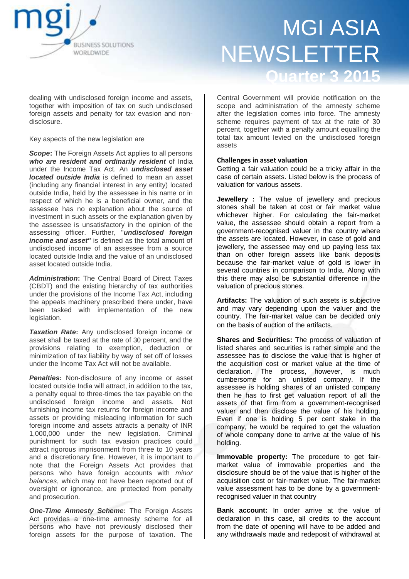

dealing with undisclosed foreign income and assets, together with imposition of tax on such undisclosed foreign assets and penalty for tax evasion and nondisclosure.

Key aspects of the new legislation are

*Scope***:** The Foreign Assets Act applies to all persons *who are resident and ordinarily resident* of India under the Income Tax Act. An *undisclosed asset located outside India* is defined to mean an asset (including any financial interest in any entity) located outside India, held by the assessee in his name or in respect of which he is a beneficial owner, and the assessee has no explanation about the source of investment in such assets or the explanation given by the assessee is unsatisfactory in the opinion of the assessing officer. Further, "*undisclosed foreign income and asset"* is defined as the total amount of undisclosed income of an assessee from a source located outside India and the value of an undisclosed asset located outside India.

*Administration***:** The Central Board of Direct Taxes (CBDT) and the existing hierarchy of tax authorities under the provisions of the Income Tax Act, including the appeals machinery prescribed there under, have been tasked with implementation of the new legislation.

*Taxation Rate***:** Any undisclosed foreign income or asset shall be taxed at the rate of 30 percent, and the provisions relating to exemption, deduction or minimization of tax liability by way of set off of losses under the Income Tax Act will not be available.

**Penalties:** Non-disclosure of any income or asset located outside India will attract, in addition to the tax, a penalty equal to three-times the tax payable on the undisclosed foreign income and assets. Not furnishing income tax returns for foreign income and assets or providing misleading information for such foreign income and assets attracts a penalty of INR 1,000,000 under the new legislation. Criminal punishment for such tax evasion practices could attract rigorous imprisonment from three to 10 years and a discretionary fine. However, it is important to note that the Foreign Assets Act provides that persons who have foreign accounts with *minor balances*, which may not have been reported out of oversight or ignorance, are protected from penalty and prosecution.

*One-Time Amnesty Scheme***:** The Foreign Assets Act provides a one-time amnesty scheme for all persons who have not previously disclosed their foreign assets for the purpose of taxation. The

Central Government will provide notification on the scope and administration of the amnesty scheme after the legislation comes into force. The amnesty scheme requires payment of tax at the rate of 30 percent, together with a penalty amount equalling the total tax amount levied on the undisclosed foreign assets

#### **Challenges in asset valuation**

Getting a fair valuation could be a tricky affair in the case of certain assets. Listed below is the process of valuation for various assets.

**Jewellery** : The value of jewellery and precious stones shall be taken at cost or fair market value whichever higher. For calculating the fair-market value, the assessee should obtain a report from a government-recognised valuer in the country where the assets are located. However, in case of gold and jewellery, the assessee may end up paying less tax than on other foreign assets like bank deposits because the fair-market value of gold is lower in several countries in comparison to India. Along with this there may also be substantial difference in the valuation of precious stones.

**Artifacts:** The valuation of such assets is subjective and may vary depending upon the valuer and the country. The fair-market value can be decided only on the basis of auction of the artifacts.

**Shares and Securities:** The process of valuation of listed shares and securities is rather simple and the assessee has to disclose the value that is higher of the acquisition cost or market value at the time of declaration. The process, however, is much cumbersome for an unlisted company. If the assessee is holding shares of an unlisted company then he has to first get valuation report of all the assets of that firm from a government-recognised valuer and then disclose the value of his holding. Even if one is holding 5 per cent stake in the company, he would be required to get the valuation of whole company done to arrive at the value of his holding.

**Immovable property:** The procedure to get fairmarket value of immovable properties and the disclosure should be of the value that is higher of the acquisition cost or fair-market value. The fair-market value assessment has to be done by a governmentrecognised valuer in that country

**Bank account:** In order arrive at the value of declaration in this case, all credits to the account from the date of opening will have to be added and any withdrawals made and redeposit of withdrawal at